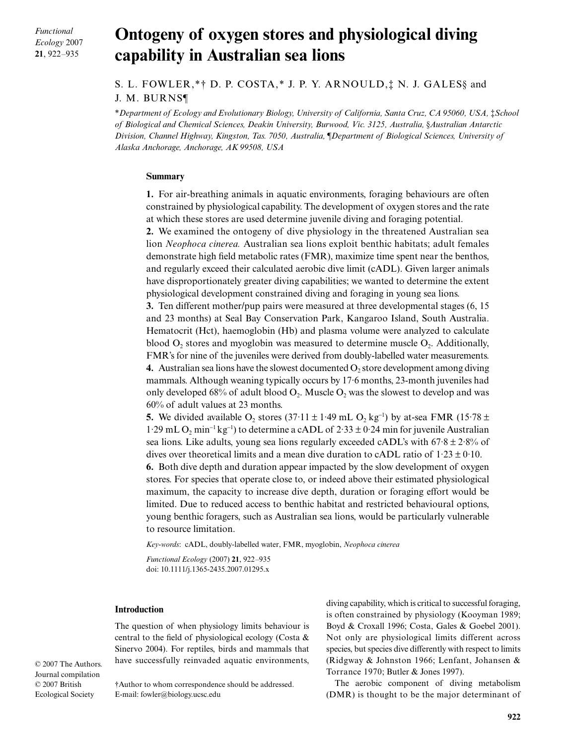*Functional Ecology* 2007 **21**, 922–935

# **Ontogeny of oxygen stores and physiological diving capability in Australian sea lions**

S. L. FOWLER,\*† D. P. COSTA,\* J. P. Y. ARNOULD,‡ N. J. GALES§ and J. M. BURNS¶

\**Department of Ecology and Evolutionary Biology, University of California, Santa Cruz, CA 95060, USA,* ‡*School of Biological and Chemical Sciences, Deakin University, Burwood, Vic. 3125, Australia,* §*Australian Antarctic Division, Channel Highway, Kingston, Tas. 7050, Australia,* ¶*Department of Biological Sciences, University of Alaska Anchorage, Anchorage, AK 99508, USA*

# **Summary**

**1.** For air-breathing animals in aquatic environments, foraging behaviours are often constrained by physiological capability. The development of oxygen stores and the rate at which these stores are used determine juvenile diving and foraging potential.

**2.** We examined the ontogeny of dive physiology in the threatened Australian sea lion *Neophoca cinerea.* Australian sea lions exploit benthic habitats; adult females demonstrate high field metabolic rates (FMR), maximize time spent near the benthos, and regularly exceed their calculated aerobic dive limit (cADL). Given larger animals have disproportionately greater diving capabilities; we wanted to determine the extent physiological development constrained diving and foraging in young sea lions.

**3.** Ten different mother/pup pairs were measured at three developmental stages (6, 15 and 23 months) at Seal Bay Conservation Park, Kangaroo Island, South Australia. Hematocrit (Hct), haemoglobin (Hb) and plasma volume were analyzed to calculate blood  $O<sub>2</sub>$ , stores and myoglobin was measured to determine muscle  $O<sub>2</sub>$ . Additionally, FMR's for nine of the juveniles were derived from doubly-labelled water measurements. **4.** Australian sea lions have the slowest documented  $O_2$  store development among diving mammals. Although weaning typically occurs by 17·6 months, 23-month juveniles had only developed 68% of adult blood  $O_2$ . Muscle  $O_2$  was the slowest to develop and was 60% of adult values at 23 months.

**5.** We divided available  $O_2$  stores (37 $\cdot$ 11 ± 1 $\cdot$ 49 mL  $O_2$  kg<sup>-1</sup>) by at-sea FMR (15 $\cdot$ 78 ± 1.29 mL O<sub>2</sub> min<sup>-1</sup> kg<sup>-1</sup>) to determine a cADL of 2.33 ± 0.24 min for juvenile Australian sea lions. Like adults, young sea lions regularly exceeded cADL's with 67·8 ± 2·8% of dives over theoretical limits and a mean dive duration to cADL ratio of  $1.23 \pm 0.10$ .

**6.** Both dive depth and duration appear impacted by the slow development of oxygen stores. For species that operate close to, or indeed above their estimated physiological maximum, the capacity to increase dive depth, duration or foraging effort would be limited. Due to reduced access to benthic habitat and restricted behavioural options, young benthic foragers, such as Australian sea lions, would be particularly vulnerable to resource limitation.

*Key-words*: cADL, doubly-labelled water, FMR, myoglobin, *Neophoca cinerea*

*Functional Ecology* (2007) **21**, 922–935 doi: 10.1111/j.1365-2435.2007.01295.x

## **Introduction**

The question of when physiology limits behaviour is central to the field of physiological ecology (Costa & Sinervo 2004). For reptiles, birds and mammals that have successfully reinvaded aquatic environments,

© 2007 The Authors. Journal compilation © 2007 British Ecological Society

†Author to whom correspondence should be addressed. E-mail: fowler@biology.ucsc.edu

diving capability, which is critical to successful foraging, is often constrained by physiology (Kooyman 1989; Boyd & Croxall 1996; Costa, Gales & Goebel 2001). Not only are physiological limits different across species, but species dive differently with respect to limits (Ridgway & Johnston 1966; Lenfant, Johansen & Torrance 1970; Butler & Jones 1997).

The aerobic component of diving metabolism (DMR) is thought to be the major determinant of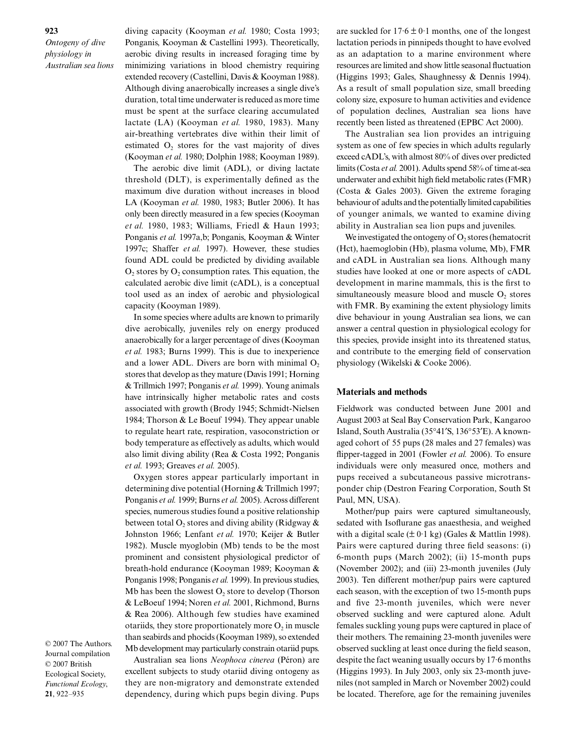diving capacity (Kooyman *et al.* 1980; Costa 1993; Ponganis, Kooyman & Castellini 1993). Theoretically, aerobic diving results in increased foraging time by minimizing variations in blood chemistry requiring extended recovery (Castellini, Davis & Kooyman 1988). Although diving anaerobically increases a single dive's duration, total time underwater is reduced as more time must be spent at the surface clearing accumulated lactate (LA) (Kooyman *et al.* 1980, 1983). Many air-breathing vertebrates dive within their limit of estimated  $O_2$  stores for the vast majority of dives (Kooyman *et al.* 1980; Dolphin 1988; Kooyman 1989).

The aerobic dive limit (ADL), or diving lactate threshold (DLT), is experimentally defined as the maximum dive duration without increases in blood LA (Kooyman *et al.* 1980, 1983; Butler 2006). It has only been directly measured in a few species (Kooyman *et al.* 1980, 1983; Williams, Friedl & Haun 1993; Ponganis *et al.* 1997a,b; Ponganis, Kooyman & Winter 1997c; Shaffer *et al.* 1997). However, these studies found ADL could be predicted by dividing available  $O<sub>2</sub>$  stores by  $O<sub>2</sub>$  consumption rates. This equation, the calculated aerobic dive limit (cADL), is a conceptual tool used as an index of aerobic and physiological capacity (Kooyman 1989).

In some species where adults are known to primarily dive aerobically, juveniles rely on energy produced anaerobically for a larger percentage of dives (Kooyman *et al.* 1983; Burns 1999). This is due to inexperience and a lower ADL. Divers are born with minimal  $O<sub>2</sub>$ stores that develop as they mature (Davis 1991; Horning & Trillmich 1997; Ponganis *et al.* 1999). Young animals have intrinsically higher metabolic rates and costs associated with growth (Brody 1945; Schmidt-Nielsen 1984; Thorson & Le Boeuf 1994). They appear unable to regulate heart rate, respiration, vasoconstriction or body temperature as effectively as adults, which would also limit diving ability (Rea & Costa 1992; Ponganis *et al.* 1993; Greaves *et al.* 2005).

Oxygen stores appear particularly important in determining dive potential (Horning & Trillmich 1997; Ponganis *et al.* 1999; Burns *et al.* 2005). Across different species, numerous studies found a positive relationship between total  $O_2$  stores and diving ability (Ridgway  $\&$ Johnston 1966; Lenfant *et al.* 1970; Keijer & Butler 1982). Muscle myoglobin (Mb) tends to be the most prominent and consistent physiological predictor of breath-hold endurance (Kooyman 1989; Kooyman & Ponganis 1998; Ponganis *et al.* 1999). In previous studies, Mb has been the slowest  $O<sub>2</sub>$  store to develop (Thorson & LeBoeuf 1994; Noren *et al.* 2001, Richmond, Burns & Rea 2006). Although few studies have examined otariids, they store proportionately more  $O_2$  in muscle than seabirds and phocids (Kooyman 1989), so extended Mb development may particularly constrain otariid pups.

© 2007 The Authors. Journal compilation © 2007 British Ecological Society, *Functional Ecology*, **21**, 922–935

Australian sea lions *Neophoca cinerea* (Péron) are excellent subjects to study otariid diving ontogeny as they are non-migratory and demonstrate extended dependency, during which pups begin diving. Pups

are suckled for  $17.6 \pm 0.1$  months, one of the longest lactation periods in pinnipeds thought to have evolved as an adaptation to a marine environment where resources are limited and show little seasonal fluctuation (Higgins 1993; Gales, Shaughnessy & Dennis 1994). As a result of small population size, small breeding colony size, exposure to human activities and evidence of population declines, Australian sea lions have recently been listed as threatened (EPBC Act 2000).

The Australian sea lion provides an intriguing system as one of few species in which adults regularly exceed cADL's, with almost 80% of dives over predicted limits (Costa *et al.* 2001). Adults spend 58% of time at-sea underwater and exhibit high field metabolic rates (FMR) (Costa & Gales 2003). Given the extreme foraging behaviour of adults and the potentially limited capabilities of younger animals, we wanted to examine diving ability in Australian sea lion pups and juveniles.

We investigated the ontogeny of  $O_2$  stores (hematocrit (Hct), haemoglobin (Hb), plasma volume, Mb), FMR and cADL in Australian sea lions. Although many studies have looked at one or more aspects of cADL development in marine mammals, this is the first to simultaneously measure blood and muscle  $O_2$  stores with FMR. By examining the extent physiology limits dive behaviour in young Australian sea lions, we can answer a central question in physiological ecology for this species, provide insight into its threatened status, and contribute to the emerging field of conservation physiology (Wikelski & Cooke 2006).

## **Materials and methods**

Fieldwork was conducted between June 2001 and August 2003 at Seal Bay Conservation Park, Kangaroo Island, South Australia (35°41′S, 136°53′E). A knownaged cohort of 55 pups (28 males and 27 females) was flipper-tagged in 2001 (Fowler *et al.* 2006). To ensure individuals were only measured once, mothers and pups received a subcutaneous passive microtransponder chip (Destron Fearing Corporation, South St Paul, MN, USA).

Mother/pup pairs were captured simultaneously, sedated with Isoflurane gas anaesthesia, and weighed with a digital scale  $(\pm 0.1 \text{ kg})$  (Gales & Mattlin 1998). Pairs were captured during three field seasons: (i) 6-month pups (March 2002); (ii) 15-month pups (November 2002); and (iii) 23-month juveniles (July 2003). Ten different mother/pup pairs were captured each season, with the exception of two 15-month pups and five 23-month juveniles, which were never observed suckling and were captured alone. Adult females suckling young pups were captured in place of their mothers. The remaining 23-month juveniles were observed suckling at least once during the field season, despite the fact weaning usually occurs by 17·6 months (Higgins 1993). In July 2003, only six 23-month juveniles (not sampled in March or November 2002) could be located. Therefore, age for the remaining juveniles

# **923**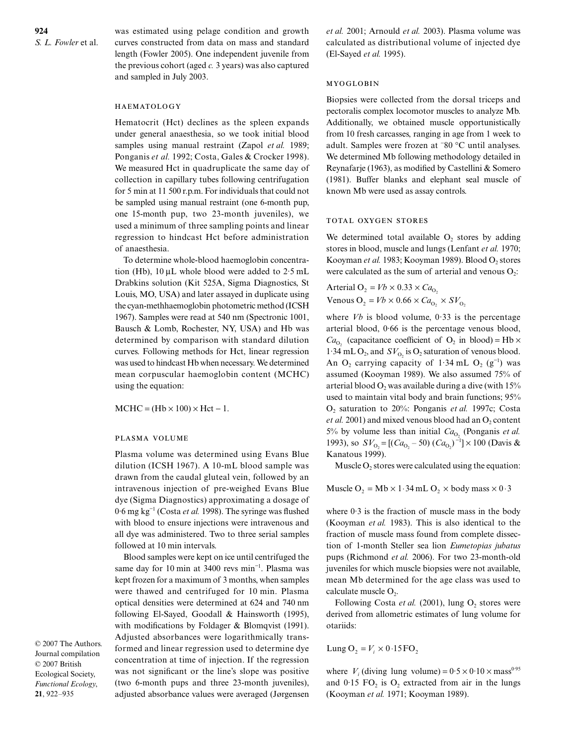was estimated using pelage condition and growth curves constructed from data on mass and standard length (Fowler 2005). One independent juvenile from the previous cohort (aged *c.* 3 years) was also captured and sampled in July 2003.

## HAEMATOLOGY

Hematocrit (Hct) declines as the spleen expands under general anaesthesia, so we took initial blood samples using manual restraint (Zapol *et al.* 1989; Ponganis et al. 1992; Costa, Gales & Crocker 1998). We measured Hct in quadruplicate the same day of collection in capillary tubes following centrifugation for 5 min at 11 500 r.p.m. For individuals that could not be sampled using manual restraint (one 6-month pup, one 15-month pup, two 23-month juveniles), we used a minimum of three sampling points and linear regression to hindcast Hct before administration of anaesthesia.

To determine whole-blood haemoglobin concentration (Hb), 10 µL whole blood were added to 2·5 mL Drabkins solution (Kit 525A, Sigma Diagnostics, St Louis, MO, USA) and later assayed in duplicate using the cyan-methhaemoglobin photometric method (ICSH 1967). Samples were read at 540 nm (Spectronic 1001, Bausch & Lomb, Rochester, NY, USA) and Hb was determined by comparison with standard dilution curves. Following methods for Hct, linear regression was used to hindcast Hb when necessary. We determined mean corpuscular haemoglobin content (MCHC) using the equation:

 $MCHC = (Hb \times 100) \times Hct - 1.$ 

## PLASMA VOLUME

Plasma volume was determined using Evans Blue dilution (ICSH 1967). A 10-mL blood sample was drawn from the caudal gluteal vein, followed by an intravenous injection of pre-weighed Evans Blue dye (Sigma Diagnostics) approximating a dosage of 0·6 mg kg<sup>−</sup><sup>1</sup> (Costa *et al.* 1998). The syringe was flushed with blood to ensure injections were intravenous and all dye was administered. Two to three serial samples followed at 10 min intervals.

Blood samples were kept on ice until centrifuged the same day for 10 min at 3400 revs min<sup>-1</sup>. Plasma was kept frozen for a maximum of 3 months, when samples were thawed and centrifuged for 10 min. Plasma optical densities were determined at 624 and 740 nm following El-Sayed, Goodall & Hainsworth (1995), with modifications by Foldager & Blomqvist (1991). Adjusted absorbances were logarithmically transformed and linear regression used to determine dye concentration at time of injection. If the regression was not significant or the line's slope was positive (two 6-month pups and three 23-month juveniles), adjusted absorbance values were averaged (Jørgensen *et al.* 2001; Arnould *et al.* 2003). Plasma volume was calculated as distributional volume of injected dye (El-Sayed *et al.* 1995).

## MYOGLOBIN

Biopsies were collected from the dorsal triceps and pectoralis complex locomotor muscles to analyze Mb. Additionally, we obtained muscle opportunistically from 10 fresh carcasses, ranging in age from 1 week to adult. Samples were frozen at <sup>−</sup> 80 °C until analyses. We determined Mb following methodology detailed in Reynafarje (1963), as modified by Castellini & Somero (1981). Buffer blanks and elephant seal muscle of known Mb were used as assay controls.

# TOTAL OXYGEN STORES

We determined total available  $O_2$  stores by adding stores in blood, muscle and lungs (Lenfant *et al.* 1970; Kooyman et al. 1983; Kooyman 1989). Blood O<sub>2</sub> stores were calculated as the sum of arterial and venous  $O_2$ :

Arterial  $O_2 = Vb \times 0.33 \times Ca_{O_2}$ Venous  $O_2 = Vb \times 0.66 \times Ca_{O_2} \times SV_{O_2}$ 

where  $Vb$  is blood volume,  $0.33$  is the percentage arterial blood, 0·66 is the percentage venous blood,  $Ca_{O_2}$  (capacitance coefficient of  $O_2$  in blood) = Hb  $\times$ 1.34 mL O<sub>2</sub>, and  $SV_{O_2}$  is O<sub>2</sub> saturation of venous blood. An O<sub>2</sub> carrying capacity of 1.34 mL O<sub>2</sub> (g<sup>-1</sup>) was assumed (Kooyman 1989). We also assumed 75% of arterial blood  $O_2$  was available during a dive (with 15% used to maintain vital body and brain functions; 95% O2 saturation to 20%: Ponganis *et al.* 1997c; Costa *et al.* 2001) and mixed venous blood had an  $O_2$  content 5% by volume less than initial  $Ca_{O_2}$  (Ponganis *et al.*) 1993), so  $SV_{O_2} = [(Ca_{O_2} - 50)(Ca_{O_2})^{-1}] \times 100$  (Davis & Kanatous 1999).

Muscle  $O_2$  stores were calculated using the equation:

Muscle O<sub>2</sub> = Mb  $\times$  1 · 34 mL O<sub>2</sub>  $\times$  body mass  $\times$  0 · 3

where 0·3 is the fraction of muscle mass in the body (Kooyman *et al.* 1983). This is also identical to the fraction of muscle mass found from complete dissection of 1-month Steller sea lion *Eumetopias jubatus* pups (Richmond *et al.* 2006). For two 23-month-old juveniles for which muscle biopsies were not available, mean Mb determined for the age class was used to calculate muscle  $O<sub>2</sub>$ .

Following Costa *et al.* (2001), lung  $O_2$  stores were derived from allometric estimates of lung volume for otariids:

Lung 
$$
O_2 = V_i \times 0.15 \text{ FO}_2
$$

where  $V_i$  (diving lung volume) =  $0.5 \times 0.10 \times \text{mass}^{0.95}$ and  $0.15$  FO<sub>2</sub> is O<sub>2</sub> extracted from air in the lungs (Kooyman *et al.* 1971; Kooyman 1989).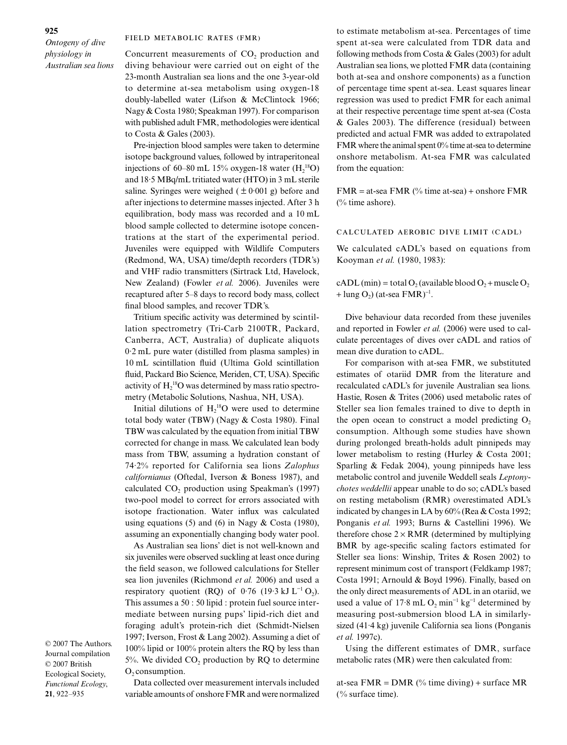## FIELD METABOLIC RATES (FMR)

Concurrent measurements of CO<sub>2</sub> production and diving behaviour were carried out on eight of the 23-month Australian sea lions and the one 3-year-old to determine at-sea metabolism using oxygen-18 doubly-labelled water (Lifson & McClintock 1966; Nagy & Costa 1980; Speakman 1997). For comparison with published adult FMR, methodologies were identical to Costa & Gales (2003).

Pre-injection blood samples were taken to determine isotope background values, followed by intraperitoneal injections of 60–80 mL 15% oxygen-18 water  $(H_2^{18}O)$ and 18·5 MBq/mL tritiated water (HTO) in 3 mL sterile saline. Syringes were weighed ( $\pm 0.001$  g) before and after injections to determine masses injected. After 3 h equilibration, body mass was recorded and a 10 mL blood sample collected to determine isotope concentrations at the start of the experimental period. Juveniles were equipped with Wildlife Computers (Redmond, WA, USA) time/depth recorders (TDR's) and VHF radio transmitters (Sirtrack Ltd, Havelock, New Zealand) (Fowler *et al.* 2006). Juveniles were recaptured after 5–8 days to record body mass, collect final blood samples, and recover TDR's.

Tritium specific activity was determined by scintillation spectrometry (Tri-Carb 2100TR, Packard, Canberra, ACT, Australia) of duplicate aliquots 0·2 mL pure water (distilled from plasma samples) in 10 mL scintillation fluid (Ultima Gold scintillation fluid, Packard Bio Science, Meriden, CT, USA). Specific activity of  $H_2^{18}O$  was determined by mass ratio spectrometry (Metabolic Solutions, Nashua, NH, USA).

Initial dilutions of  $H_2^{18}O$  were used to determine total body water (TBW) (Nagy & Costa 1980). Final TBW was calculated by the equation from initial TBW corrected for change in mass. We calculated lean body mass from TBW, assuming a hydration constant of 74·2% reported for California sea lions *Zalophus californianus* (Oftedal, Iverson & Boness 1987), and calculated CO<sub>2</sub> production using Speakman's (1997) two-pool model to correct for errors associated with isotope fractionation. Water influx was calculated using equations (5) and (6) in Nagy  $& Costa (1980)$ , assuming an exponentially changing body water pool.

As Australian sea lions' diet is not well-known and six juveniles were observed suckling at least once during the field season, we followed calculations for Steller sea lion juveniles (Richmond *et al.* 2006) and used a respiratory quotient (RQ) of  $0.76$  (19 $\cdot$ 3 kJ L<sup>-1</sup> O<sub>2</sub>). This assumes a 50 : 50 lipid : protein fuel source intermediate between nursing pups' lipid-rich diet and foraging adult's protein-rich diet (Schmidt-Nielsen 1997; Iverson, Frost & Lang 2002). Assuming a diet of 100% lipid or 100% protein alters the RQ by less than  $5%$ . We divided CO<sub>2</sub> production by RQ to determine  $O_2$  consumption.

© 2007 The Authors. Journal compilation © 2007 British Ecological Society, *Functional Ecology*, **21**, 922–935

Data collected over measurement intervals included variable amounts of onshore FMR and were normalized

to estimate metabolism at-sea. Percentages of time spent at-sea were calculated from TDR data and following methods from Costa & Gales (2003) for adult Australian sea lions, we plotted FMR data (containing both at-sea and onshore components) as a function of percentage time spent at-sea. Least squares linear regression was used to predict FMR for each animal at their respective percentage time spent at-sea (Costa & Gales 2003). The difference (residual) between predicted and actual FMR was added to extrapolated FMR where the animal spent 0% time at-sea to determine onshore metabolism. At-sea FMR was calculated from the equation:

 $FMR = at-sea FMR$  (% time at-sea) + onshore  $FMR$ (% time ashore).

# CALCULATED AEROBIC DIVE LIMIT (CADL)

We calculated cADL's based on equations from Kooyman *et al.* (1980, 1983):

cADL (min) = total  $O_2$  (available blood  $O_2$  + muscle  $O_2$ + lung  $O_2$ ) (at-sea FMR)<sup>-1</sup>.

Dive behaviour data recorded from these juveniles and reported in Fowler *et al.* (2006) were used to calculate percentages of dives over cADL and ratios of mean dive duration to cADL.

For comparison with at-sea FMR, we substituted estimates of otariid DMR from the literature and recalculated cADL's for juvenile Australian sea lions. Hastie, Rosen & Trites (2006) used metabolic rates of Steller sea lion females trained to dive to depth in the open ocean to construct a model predicting  $O_2$ consumption. Although some studies have shown during prolonged breath-holds adult pinnipeds may lower metabolism to resting (Hurley & Costa 2001; Sparling & Fedak 2004), young pinnipeds have less metabolic control and juvenile Weddell seals *Leptonychotes weddellii* appear unable to do so; cADL's based on resting metabolism (RMR) overestimated ADL's indicated by changes in LA by 60% (Rea & Costa 1992; Ponganis *et al.* 1993; Burns & Castellini 1996). We therefore chose  $2 \times RMR$  (determined by multiplying BMR by age-specific scaling factors estimated for Steller sea lions: Winship, Trites & Rosen 2002) to represent minimum cost of transport (Feldkamp 1987; Costa 1991; Arnould & Boyd 1996). Finally, based on the only direct measurements of ADL in an otariid, we used a value of 17 $\cdot$ 8 mL O<sub>2</sub> min<sup>-1</sup> kg<sup>-1</sup> determined by measuring post-submersion blood LA in similarlysized (41·4 kg) juvenile California sea lions (Ponganis *et al.* 1997c).

Using the different estimates of DMR, surface metabolic rates (MR) were then calculated from:

at-sea FMR =  $DMR$  (% time diving) + surface MR (% surface time).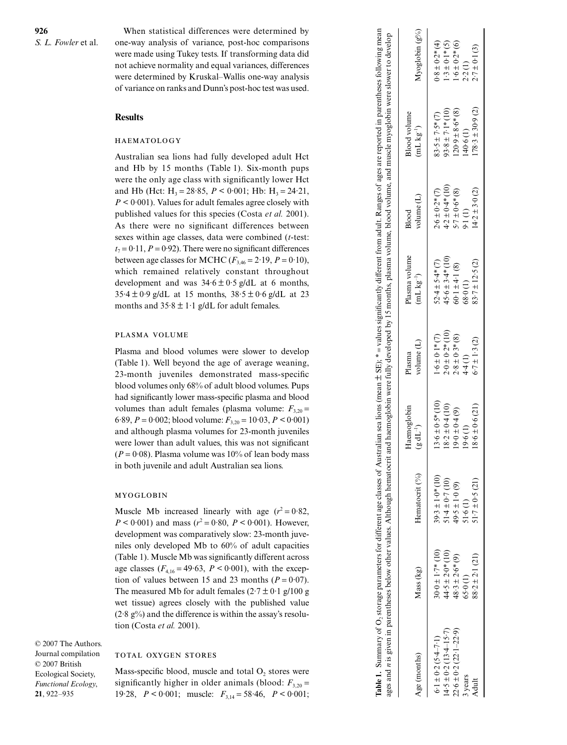When statistical differences were determined by one-way analysis of variance, post-hoc comparisons were made using Tukey tests. If transforming data did not achieve normality and equal variances, differences were determined by Kruskal–Wallis one-way analysis of variance on ranks and Dunn's post-hoc test was used.

# **Results**

## HAEMATOLOGY

Australian sea lions had fully developed adult Hct and Hb by 15 months (Table 1). Six-month pups were the only age class with significantly lower Hct and Hb (Hct:  $H_3 = 28.85$ ,  $P < 0.001$ ; Hb:  $H_3 = 24.21$ , *P <* 0·001). Values for adult females agree closely with published values for this species (Costa *et al.* 2001). As there were no significant differences between sexes within age classes, data were combined ( *t*-test:  $t_7 = 0.11$ ,  $P = 0.92$ ). There were no significant differences between age classes for MCHC  $(F_{3,46} = 2.19, P = 0.10)$ , which remained relatively constant throughout development and was  $34.6 \pm 0.5$  g/dL at 6 months,  $35.4 \pm 0.9$  g/dL at 15 months,  $38.5 \pm 0.6$  g/dL at 23 months and  $35.8 \pm 1.1$  g/dL for adult females.

#### PLASMA VOLUME

Plasma and blood volumes were slower to develop (Table 1). Well beyond the age of average weaning, 23-month juveniles demonstrated mass-specific blood volumes only 68% of adult blood volumes. Pups had significantly lower mass-specific plasma and blood volumes than adult females (plasma volume:  $F_{3,20}$  = 6.89,  $P = 0.002$ ; blood volume:  $F_{3,20} = 10.03$ ,  $P \le 0.001$ ) and although plasma volumes for 23-month juveniles were lower than adult values, this was not significant  $(P = 0.08)$ . Plasma volume was 10% of lean body mass in both juvenile and adult Australian sea lions.

## MYOGLOBIN

Muscle Mb increased linearly with age  $(r^2 = 0.82)$ ,  $P < 0.001$ ) and mass ( $r^2 = 0.80$ ,  $P < 0.001$ ). However, development was comparatively slow: 23-month juveniles only developed Mb to 60% of adult capacities (Table 1). Muscle Mb was significantly different across age classes  $(F_{4,16} = 49.63, P \le 0.001)$ , with the exception of values between 15 and 23 months  $(P = 0.07)$ . The measured Mb for adult females  $(2.7 \pm 0.1 \text{ g}/100 \text{ g})$ wet tissue) agrees closely with the published value  $(2.8 \text{ g\%})$  and the difference is within the assay's resolution (Costa *et al.* 2001).

© 2007 The Authors. Journal compilation © 2007 British Ecological Society, *Functional Ecology*, **21**, 922–935

## TOTAL OXYGEN STORES

Mass-specific blood, muscle and total  $O_2$  stores were significantly higher in older animals (blood:  $F_{3,20}$  = 19·28, *P <* 0·001; muscle: *F*3,14 = 58·46, *P <* 0·001;

| ages and <i>n</i> is given in parentheses below other values. Although hematocrit |                       |                       |                                     |                        |                                 |                       | and haemoglobin were fully developed by 15 months, plasma volume, blood volume, and muscle myoglobin were slower to develop |                    |
|-----------------------------------------------------------------------------------|-----------------------|-----------------------|-------------------------------------|------------------------|---------------------------------|-----------------------|-----------------------------------------------------------------------------------------------------------------------------|--------------------|
| Age (months)                                                                      | Mass (kg)             | Hematocrit (%)        | Haemoglobin<br>$(\epsilon dL^{-1})$ | volume $(L)$<br>Plasma | Plasma volume<br>$(mL kg^{-1})$ | volume $(L)$<br>Blood | <b>Blood</b> volume<br>$(mL kg^{-1})$                                                                                       | Myoglobin $(g\%)$  |
| $5.1 \pm 0.2$ (5.4–7.1)                                                           | $30.0 \pm 1.7$ * (10) | $39.3 \pm 1.0* (10)$  | $13.6 \pm 0.5*$ (10)                | $1.6 \pm 0.1*$ (7)     | $52.4 \pm 5.4*(7)$              | $2.6 \pm 0.2*(7)$     | $83.5 \pm 7.5*$ (7)                                                                                                         | $0.8 \pm 0.2*(4)$  |
| $4.5 \pm 0.2 (13.4 - 15.7)$                                                       | $44.5 \pm 2.0*(10)$   | $-1.4 \pm 0.7(10)$    | $18.2 \pm 0.4$ (10)                 | $2.0 \pm 0.2*(10)$     | $45.6 \pm 3.4*$ (10)            | $4.2 \pm 0.4*$ (10)   | $(01) * 1.7 + 8.56$                                                                                                         | $-3 \pm 0.1*$ (5)  |
| $22.6 \pm 0.2 (22.1 - 22.9)$                                                      | $48.3 \pm 2.6*(9)$    | $49.5 \pm 1.0$ (9)    | $19.0 \pm 0.4$ (9)                  | $2.8 \pm 0.3*(8)$      | $60.1 \pm 4.1$ (8)              | $5.7 \pm 0.6*$ (8)    | $120.9 \pm 8.6*$ (8)                                                                                                        | $1.6 \pm 0.2* (6)$ |
| 3 years                                                                           | 65.0(1)               | 1.6(1)                | (1)9.6                              | 4.4(1)                 | 68(0)                           | 9.1(1)                | 40.6(1)                                                                                                                     | 2.2(1)             |
| Adult                                                                             | $88.2 \pm 2.1(21)$    | $51 - 7 \pm 0.5$ (21) | $18.6 \pm 0.6$ (21)                 | $6.7 \pm 1.3$ (2)      | $83.7 \pm 12.5$ (2)             | $(4.2 \pm 3.0)$ (2)   | $(78.3 \pm 30.9)$ (2)                                                                                                       | $2.7 \pm 0.1$ (3)  |

**Table 1.** Summary of O2 storage parameters for different age classes of Australian sea lions (mean ± SE); \* = values significantly different from adult. Ranges of ages are reported in parentheses following mean

Table 1. Summary of O<sub>2</sub> storage parameters for different age classes of Australian sea lions (mean ± SE); \* = values significantly different from adult. Ranges of ages are reported in parentheses following mean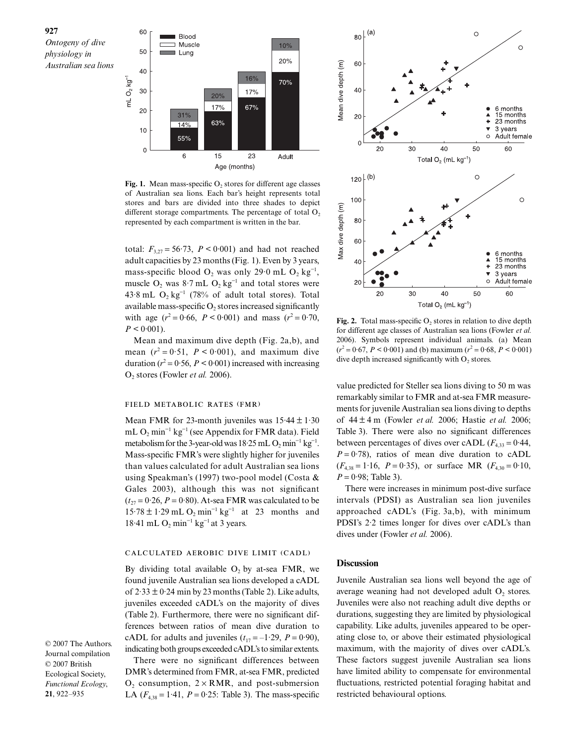

Fig. 1. Mean mass-specific O<sub>2</sub> stores for different age classes of Australian sea lions. Each bar's height represents total stores and bars are divided into three shades to depict different storage compartments. The percentage of total  $O_2$ represented by each compartment is written in the bar.

total:  $F_{3,27} = 56.73$ ,  $P < 0.001$ ) and had not reached adult capacities by 23 months (Fig. 1). Even by 3 years, mass-specific blood  $O_2$  was only 29 $\cdot$ 0 mL  $O_2$  kg<sup>-1</sup>, muscle  $O_2$  was 8·7 mL  $O_2$  kg<sup>-1</sup> and total stores were 43·8 mL  $O_2$  kg<sup>-1</sup> (78% of adult total stores). Total available mass-specific  $O_2$  stores increased significantly with age  $(r^2 = 0.66, P < 0.001)$  and mass  $(r^2 = 0.70,$  $P < 0.001$ ).

Mean and maximum dive depth (Fig. 2a,b), and mean  $(r^2 = 0.51, P \le 0.001)$ , and maximum dive duration  $(r^2 = 0.56, P \le 0.001)$  increased with increasing O2 stores (Fowler *et al.* 2006).

#### FIELD METABOLIC RATES (FMR)

Mean FMR for 23-month juveniles was  $15.44 \pm 1.30$ mL  $O_2$  min<sup>-1</sup> kg<sup>-1</sup> (see Appendix for FMR data). Field metabolism for the 3-year-old was  $18.25$  mL  $O_2$  min<sup>-1</sup> kg<sup>-1</sup>. Mass-specific FMR's were slightly higher for juveniles than values calculated for adult Australian sea lions using Speakman's (1997) two-pool model (Costa & Gales 2003), although this was not significant  $(t_{27} = 0.26, P = 0.80)$ . At-sea FMR was calculated to be  $15.78 \pm 1.29$  mL O<sub>2</sub> min<sup>-1</sup> kg<sup>-1</sup> at 23 months and 18.41 mL  $O_2$  min<sup>-1</sup> kg<sup>-1</sup> at 3 years.

#### CALCULATED AEROBIC DIVE LIMIT (CADL)

By dividing total available  $O_2$  by at-sea FMR, we found juvenile Australian sea lions developed a cADL of  $2.33 \pm 0.24$  min by 23 months (Table 2). Like adults, juveniles exceeded cADL's on the majority of dives (Table 2). Furthermore, there were no significant differences between ratios of mean dive duration to cADL for adults and juveniles  $(t_{17} = -1.29, P = 0.90)$ , indicating both groups exceeded cADL's to similar extents.

Journal compilation © 2007 British Ecological Society, *Functional Ecology*, **21**, 922–935

© 2007 The Authors.

There were no significant differences between DMR's determined from FMR, at-sea FMR, predicted  $O<sub>2</sub>$  consumption,  $2 \times RMR$ , and post-submersion LA  $(F_{4,38} = 1.41, P = 0.25$ : Table 3). The mass-specific



**Fig. 2.** Total mass-specific O<sub>2</sub> stores in relation to dive depth for different age classes of Australian sea lions (Fowler *et al.* 2006). Symbols represent individual animals. (a) Mean  $(r^2 = 0.67, P < 0.001)$  and (b) maximum  $(r^2 = 0.68, P < 0.001)$ dive depth increased significantly with  $O<sub>2</sub>$  stores.

value predicted for Steller sea lions diving to 50 m was remarkably similar to FMR and at-sea FMR measurements for juvenile Australian sea lions diving to depths of 44 ± 4 m (Fowler *et al.* 2006; Hastie *et al.* 2006; Table 3). There were also no significant differences between percentages of dives over cADL  $(F_{4,33} = 0.44,$  $P = 0.78$ ), ratios of mean dive duration to cADL  $(F_{4,38} = 1.16, P = 0.35)$ , or surface MR  $(F_{4,30} = 0.10,$  $P = 0.98$ ; Table 3).

There were increases in minimum post-dive surface intervals (PDSI) as Australian sea lion juveniles approached cADL's (Fig. 3a,b), with minimum PDSI's 2·2 times longer for dives over cADL's than dives under (Fowler *et al.* 2006).

# **Discussion**

Juvenile Australian sea lions well beyond the age of average weaning had not developed adult O<sub>2</sub> stores. Juveniles were also not reaching adult dive depths or durations, suggesting they are limited by physiological capability. Like adults, juveniles appeared to be operating close to, or above their estimated physiological maximum, with the majority of dives over cADL's. These factors suggest juvenile Australian sea lions have limited ability to compensate for environmental fluctuations, restricted potential foraging habitat and restricted behavioural options.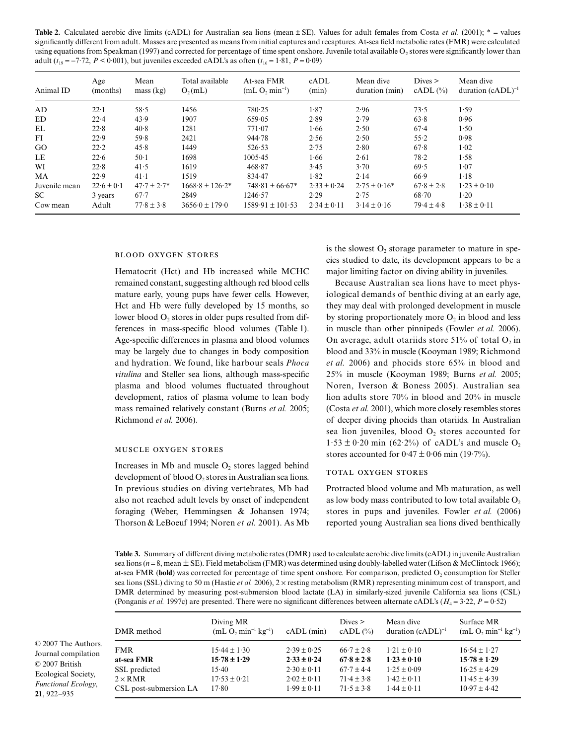**Table 2.** Calculated aerobic dive limits (cADL) for Australian sea lions (mean  $\pm$  SE). Values for adult females from Costa *et al.* (2001);  $*$  = values *S. L. Fowler* et al. significantly different from adult. Masses are presented as means from initial captures and recaptures. At-sea field metabolic rates (FMR) were calculated using equations from Speakman (1997) and corrected for percentage of time spent onshore. Juvenile total available  $O<sub>2</sub>$  stores were significantly lower than adult ( $t_{19} = -7.72$ ,  $P < 0.001$ ), but juveniles exceeded cADL's as often ( $t_{16} = 1.81$ ,  $P = 0.09$ )

| Animal ID                        | Age<br>(months)                    | Mean<br>mass (kg)                             | Total available<br>$O_2(mL)$                                   | At-sea FMR<br>$(mL O, min^{-1})$                       | cADL<br>(min)                              | Mean dive<br>duration (min)                 | Dives<br>$cADL$ $(\%)$                    | Mean dive<br>duration $(cADL)^{-1}$        |
|----------------------------------|------------------------------------|-----------------------------------------------|----------------------------------------------------------------|--------------------------------------------------------|--------------------------------------------|---------------------------------------------|-------------------------------------------|--------------------------------------------|
| AD                               | $22 \cdot 1$                       | 58.5                                          | 1456                                                           | 780.25                                                 | 1.87                                       | 2.96                                        | 73.5                                      | 1.59                                       |
| <b>ED</b>                        | 22.4                               | 43.9                                          | 1907                                                           | 659.05                                                 | 2.89                                       | 2.79                                        | 63.8                                      | 0.96                                       |
| EL                               | 22.8                               | 40.8                                          | 1281                                                           | 771.07                                                 | 1.66                                       | 2.50                                        | 67.4                                      | 1.50                                       |
| FI                               | 22.9                               | 59.8                                          | 2421                                                           | 944.78                                                 | 2.56                                       | 2.50                                        | 55.2                                      | 0.98                                       |
| GO                               | 22.2                               | 45.8                                          | 1449                                                           | 526.53                                                 | 2.75                                       | 2.80                                        | 67.8                                      | 1.02                                       |
| LE                               | 22.6                               | $50-1$                                        | 1698                                                           | 1005.45                                                | 1.66                                       | 2.61                                        | 78.2                                      | 1.58                                       |
| WI                               | 22.8                               | 41.5                                          | 1619                                                           | 468.87                                                 | 3.45                                       | 3.70                                        | 69.5                                      | 1.07                                       |
| MA                               | 22.9                               | $41-1$                                        | 1519                                                           | 834.47                                                 | 1.82                                       | 2.14                                        | 66.9                                      | $1-18$                                     |
| Juvenile mean<br>SC.<br>Cow mean | $22.6 \pm 0.1$<br>3 years<br>Adult | $47.7 \pm 2.7*$<br>$67 - 7$<br>$77.8 \pm 3.8$ | $1668.8 \pm 126.2^*$<br>2849<br>$3656 \cdot 0 \pm 179 \cdot 0$ | $748.81 \pm 66.67*$<br>1246.57<br>$1589.91 \pm 101.53$ | $2.33 \pm 0.24$<br>2.29<br>$2.34 \pm 0.11$ | $2.75 \pm 0.16*$<br>2.75<br>$3.14 \pm 0.16$ | $67.8 \pm 2.8$<br>68.70<br>$79.4 \pm 4.8$ | $1.23 \pm 0.10$<br>1.20<br>$1.38 \pm 0.11$ |

## **BLOOD OXYGEN STORES**

Hematocrit (Hct) and Hb increased while MCHC remained constant, suggesting although red blood cells mature early, young pups have fewer cells. However, Hct and Hb were fully developed by 15 months, so lower blood  $O<sub>2</sub>$  stores in older pups resulted from differences in mass-specific blood volumes (Table 1). Age-specific differences in plasma and blood volumes may be largely due to changes in body composition and hydration. We found, like harbour seals *Phoca vitulina* and Steller sea lions, although mass-specific plasma and blood volumes fluctuated throughout development, ratios of plasma volume to lean body mass remained relatively constant (Burns *et al.* 2005; Richmond *et al.* 2006).

## MUSCLE OXYGEN STORES

Increases in  $Mb$  and muscle  $O$ , stores lagged behind development of blood  $O_2$  stores in Australian sea lions. In previous studies on diving vertebrates, Mb had also not reached adult levels by onset of independent foraging (Weber, Hemmingsen & Johansen 1974; Thorson & LeBoeuf 1994; Noren *et al.* 2001). As Mb is the slowest  $O_2$  storage parameter to mature in species studied to date, its development appears to be a major limiting factor on diving ability in juveniles.

Because Australian sea lions have to meet physiological demands of benthic diving at an early age, they may deal with prolonged development in muscle by storing proportionately more  $O_2$  in blood and less in muscle than other pinnipeds (Fowler *et al.* 2006). On average, adult otariids store  $51\%$  of total O<sub>2</sub> in blood and 33% in muscle (Kooyman 1989; Richmond *et al.* 2006) and phocids store 65% in blood and 25% in muscle (Kooyman 1989; Burns *et al.* 2005; Noren, Iverson & Boness 2005). Australian sea lion adults store 70% in blood and 20% in muscle (Costa *et al.* 2001), which more closely resembles stores of deeper diving phocids than otariids. In Australian sea lion juveniles, blood  $O<sub>2</sub>$  stores accounted for  $1.53 \pm 0.20$  min (62.2%) of cADL's and muscle O<sub>2</sub> stores accounted for  $0.47 \pm 0.06$  min (19.7%).

# TOTAL OXYGEN STORES

Protracted blood volume and Mb maturation, as well as low body mass contributed to low total available  $O<sub>2</sub>$ stores in pups and juveniles. Fowler *et al.* (2006) reported young Australian sea lions dived benthically

**Table 3.** Summary of different diving metabolic rates (DMR) used to calculate aerobic dive limits (cADL) in juvenile Australian sea lions ( $n = 8$ , mean  $\pm$  SE). Field metabolism (FMR) was determined using doubly-labelled water (Lifson & McClintock 1966); at-sea FMR (bold) was corrected for percentage of time spent onshore. For comparison, predicted O<sub>2</sub> consumption for Steller sea lions (SSL) diving to 50 m (Hastie *et al.* 2006), 2 × resting metabolism (RMR) representing minimum cost of transport, and DMR determined by measuring post-submersion blood lactate (LA) in similarly-sized juvenile California sea lions (CSL) (Ponganis *et al.* 1997c) are presented. There were no significant differences between alternate cADL's (*H*<sup>4</sup> = 3·22, *P* = 0·52)

|                    | DMR method             | Diving MR<br>$(mL O, min^{-1} kg^{-1})$ | $cADL$ (min)    | Dives<br>$cADL$ $(\%)$ | Mean dive<br>duration $(cADL)^{-1}$ | Surface MR<br>$(mL O, min^{-1} kg^{-1})$ |
|--------------------|------------------------|-----------------------------------------|-----------------|------------------------|-------------------------------------|------------------------------------------|
| uthors.<br>ilation | <b>FMR</b>             | $15.44 \pm 1.30$                        | $2.39 \pm 0.25$ | $66.7 \pm 2.8$         | $1.21 \pm 0.10$                     | $16.54 \pm 1.27$                         |
|                    | at-sea FMR             | $15.78 \pm 1.29$                        | $2.33 \pm 0.24$ | $67.8 \pm 2.8$         | $1.23 \pm 0.10$                     | $15.78 \pm 1.29$                         |
| ciety,             | SSL predicted          | $15-40$                                 | $2.30 \pm 0.11$ | $67.7 \pm 4.4$         | $1.25 \pm 0.09$                     | $16.25 \pm 4.29$                         |
|                    | $2 \times RMR$         | $17.53 \pm 0.21$                        | $2.02 \pm 0.11$ | $71.4 \pm 3.8$         | $1.42 \pm 0.11$                     | $11.45 \pm 4.39$                         |
| ology,             | CSL post-submersion LA | 17.80                                   | $1.99 \pm 0.11$ | $71.5 \pm 3.8$         | $1.44 \pm 0.11$                     | $10.97 \pm 4.42$                         |

 $© 2007$  The A Journal compi © 2007 British Ecological Soc *Functional Eco* **21**, 922–935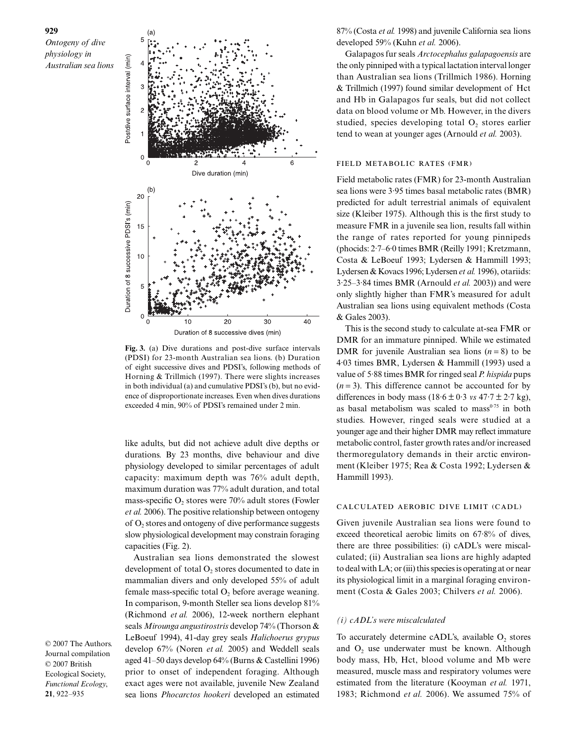



**Fig. 3.** (a) Dive durations and post-dive surface intervals (PDSI) for 23-month Australian sea lions. (b) Duration of eight successive dives and PDSI's, following methods of Horning & Trillmich (1997). There were slights increases in both individual (a) and cumulative PDSI's (b), but no evidence of disproportionate increases. Even when dives durations exceeded 4 min, 90% of PDSI's remained under 2 min.

like adults, but did not achieve adult dive depths or durations. By 23 months, dive behaviour and dive physiology developed to similar percentages of adult capacity: maximum depth was 76% adult depth, maximum duration was 77% adult duration, and total mass-specific  $O_2$  stores were 70% adult stores (Fowler *et al.* 2006). The positive relationship between ontogeny of  $O<sub>2</sub>$  stores and ontogeny of dive performance suggests slow physiological development may constrain foraging capacities (Fig. 2).

Australian sea lions demonstrated the slowest development of total  $O_2$  stores documented to date in mammalian divers and only developed 55% of adult female mass-specific total  $O<sub>2</sub>$  before average weaning. In comparison, 9-month Steller sea lions develop 81% (Richmond *et al.* 2006), 12-week northern elephant seals *Mirounga angustirostris* develop 74% (Thorson & LeBoeuf 1994), 41-day grey seals *Halichoerus grypus* develop 67% (Noren *et al.* 2005) and Weddell seals aged 41–50 days develop 64% (Burns & Castellini 1996) prior to onset of independent foraging. Although exact ages were not available, juvenile New Zealand sea lions *Phocarctos hookeri* developed an estimated

© 2007 The Authors. Journal compilation © 2007 British Ecological Society, *Functional Ecology*, **21**, 922–935

87% (Costa *et al.* 1998) and juvenile California sea lions developed 59% (Kuhn *et al.* 2006).

Galapagos fur seals *Arctocephalus galapagoensis* are the only pinniped with a typical lactation interval longer than Australian sea lions (Trillmich 1986). Horning & Trillmich (1997) found similar development of Hct and Hb in Galapagos fur seals, but did not collect data on blood volume or Mb. However, in the divers studied, species developing total  $O<sub>2</sub>$  stores earlier tend to wean at younger ages (Arnould *et al.* 2003).

## FIELD METABOLIC RATES (FMR)

Field metabolic rates (FMR) for 23-month Australian sea lions were 3·95 times basal metabolic rates (BMR) predicted for adult terrestrial animals of equivalent size (Kleiber 1975). Although this is the first study to measure FMR in a juvenile sea lion, results fall within the range of rates reported for young pinnipeds (phocids: 2·7–6·0 times BMR (Reilly 1991; Kretzmann, Costa & LeBoeuf 1993; Lydersen & Hammill 1993; Lydersen & Kovacs 1996; Lydersen *et al.* 1996), otariids: 3·25–3·84 times BMR (Arnould *et al.* 2003)) and were only slightly higher than FMR's measured for adult Australian sea lions using equivalent methods (Costa & Gales 2003).

This is the second study to calculate at-sea FMR or DMR for an immature pinniped. While we estimated DMR for juvenile Australian sea lions  $(n = 8)$  to be 4·03 times BMR, Lydersen & Hammill (1993) used a value of 5·88 times BMR for ringed seal *P. hispida* pups  $(n=3)$ . This difference cannot be accounted for by differences in body mass  $(18.6 \pm 0.3 \text{ vs } 47.7 \pm 2.7 \text{ kg})$ , as basal metabolism was scaled to mass $0.75$  in both studies. However, ringed seals were studied at a younger age and their higher DMR may reflect immature metabolic control, faster growth rates and/or increased thermoregulatory demands in their arctic environment (Kleiber 1975; Rea & Costa 1992; Lydersen & Hammill 1993).

# CALCULATED AEROBIC DIVE LIMIT (CADL)

Given juvenile Australian sea lions were found to exceed theoretical aerobic limits on 67·8% of dives, there are three possibilities: (i) cADL's were miscalculated; (ii) Australian sea lions are highly adapted to deal with LA; or (iii) this species is operating at or near its physiological limit in a marginal foraging environment (Costa & Gales 2003; Chilvers *et al.* 2006).

#### *(i) cADL's were miscalculated*

To accurately determine cADL's, available  $O_2$  stores and  $O<sub>2</sub>$  use underwater must be known. Although body mass, Hb, Hct, blood volume and Mb were measured, muscle mass and respiratory volumes were estimated from the literature (Kooyman *et al.* 1971, 1983; Richmond *et al.* 2006). We assumed 75% of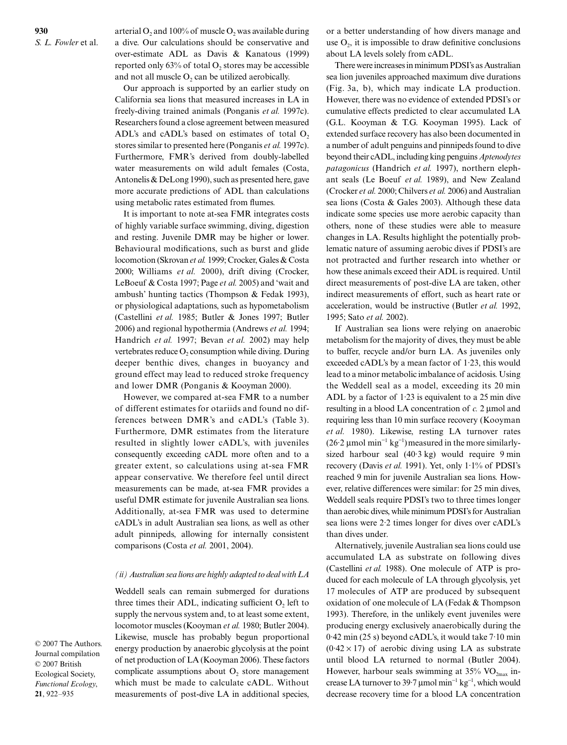arterial  $O_2$  and 100% of muscle  $O_2$  was available during a dive. Our calculations should be conservative and over-estimate ADL as Davis & Kanatous (1999) reported only  $63\%$  of total  $O_2$  stores may be accessible and not all muscle  $O_2$  can be utilized aerobically.

Our approach is supported by an earlier study on California sea lions that measured increases in LA in freely-diving trained animals (Ponganis *et al.* 1997c). Researchers found a close agreement between measured ADL's and cADL's based on estimates of total  $O<sub>2</sub>$ stores similar to presented here (Ponganis *et al.* 1997c). Furthermore, FMR's derived from doubly-labelled water measurements on wild adult females (Costa, Antonelis & DeLong 1990), such as presented here, gave more accurate predictions of ADL than calculations using metabolic rates estimated from flumes.

It is important to note at-sea FMR integrates costs of highly variable surface swimming, diving, digestion and resting. Juvenile DMR may be higher or lower. Behavioural modifications, such as burst and glide locomotion (Skrovan *et al.* 1999; Crocker, Gales & Costa 2000; Williams *et al.* 2000), drift diving (Crocker, LeBoeuf & Costa 1997; Page *et al.* 2005) and 'wait and ambush' hunting tactics (Thompson & Fedak 1993), or physiological adaptations, such as hypometabolism (Castellini *et al.* 1985; Butler & Jones 1997; Butler 2006) and regional hypothermia (Andrews *et al.* 1994; Handrich *et al.* 1997; Bevan *et al.* 2002) may help vertebrates reduce  $O_2$  consumption while diving. During deeper benthic dives, changes in buoyancy and ground effect may lead to reduced stroke frequency and lower DMR (Ponganis & Kooyman 2000).

However, we compared at-sea FMR to a number of different estimates for otariids and found no differences between DMR's and cADL's (Table 3). Furthermore, DMR estimates from the literature resulted in slightly lower cADL's, with juveniles consequently exceeding cADL more often and to a greater extent, so calculations using at-sea FMR appear conservative. We therefore feel until direct measurements can be made, at-sea FMR provides a useful DMR estimate for juvenile Australian sea lions. Additionally, at-sea FMR was used to determine cADL's in adult Australian sea lions, as well as other adult pinnipeds, allowing for internally consistent comparisons (Costa *et al.* 2001, 2004).

#### *(ii) Australian sea lions are highly adapted to deal with LA*

Weddell seals can remain submerged for durations three times their ADL, indicating sufficient  $O_2$  left to supply the nervous system and, to at least some extent, locomotor muscles (Kooyman *et al.* 1980; Butler 2004). Likewise, muscle has probably begun proportional energy production by anaerobic glycolysis at the point of net production of LA (Kooyman 2006). These factors complicate assumptions about  $O<sub>2</sub>$  store management which must be made to calculate cADL. Without measurements of post-dive LA in additional species,

or a better understanding of how divers manage and use  $O_2$ , it is impossible to draw definitive conclusions about LA levels solely from cADL.

There were increases in minimum PDSI's as Australian sea lion juveniles approached maximum dive durations (Fig. 3a, b), which may indicate LA production. However, there was no evidence of extended PDSI's or cumulative effects predicted to clear accumulated LA (G.L. Kooyman & T.G. Kooyman 1995). Lack of extended surface recovery has also been documented in a number of adult penguins and pinnipeds found to dive beyond their cADL, including king penguins *Aptenodytes patagonicus* (Handrich *et al.* 1997), northern elephant seals (Le Boeuf *et al.* 1989), and New Zealand (Crocker *et al.* 2000; Chilvers *et al.* 2006) and Australian sea lions (Costa & Gales 2003). Although these data indicate some species use more aerobic capacity than others, none of these studies were able to measure changes in LA. Results highlight the potentially problematic nature of assuming aerobic dives if PDSI's are not protracted and further research into whether or how these animals exceed their ADL is required. Until direct measurements of post-dive LA are taken, other indirect measurements of effort, such as heart rate or acceleration, would be instructive (Butler *et al.* 1992, 1995; Sato *et al.* 2002).

If Australian sea lions were relying on anaerobic metabolism for the majority of dives, they must be able to buffer, recycle and/or burn LA. As juveniles only exceeded cADL's by a mean factor of 1·23, this would lead to a minor metabolic imbalance of acidosis. Using the Weddell seal as a model, exceeding its 20 min ADL by a factor of  $1.23$  is equivalent to a 25 min dive resulting in a blood LA concentration of c. 2 umol and requiring less than 10 min surface recovery (Kooyman *et al.* 1980). Likewise, resting LA turnover rates ( $26·2 \mu$ mol min<sup>-1</sup> kg<sup>-1</sup>) measured in the more similarlysized harbour seal (40·3 kg) would require 9 min recovery (Davis *et al.* 1991). Yet, only 1·1% of PDSI's reached 9 min for juvenile Australian sea lions. However, relative differences were similar: for 25 min dives, Weddell seals require PDSI's two to three times longer than aerobic dives, while minimum PDSI's for Australian sea lions were 2·2 times longer for dives over cADL's than dives under.

Alternatively, juvenile Australian sea lions could use accumulated LA as substrate on following dives (Castellini *et al.* 1988). One molecule of ATP is produced for each molecule of LA through glycolysis, yet 17 molecules of ATP are produced by subsequent oxidation of one molecule of LA (Fedak & Thompson 1993). Therefore, in the unlikely event juveniles were producing energy exclusively anaerobically during the 0·42 min (25 s) beyond cADL's, it would take 7·10 min  $(0.42 \times 17)$  of aerobic diving using LA as substrate until blood LA returned to normal (Butler 2004). However, harbour seals swimming at  $35\%$  VO<sub>2max</sub> increase LA turnover to 39.7 µmol min<sup>-1</sup> kg<sup>-1</sup>, which would decrease recovery time for a blood LA concentration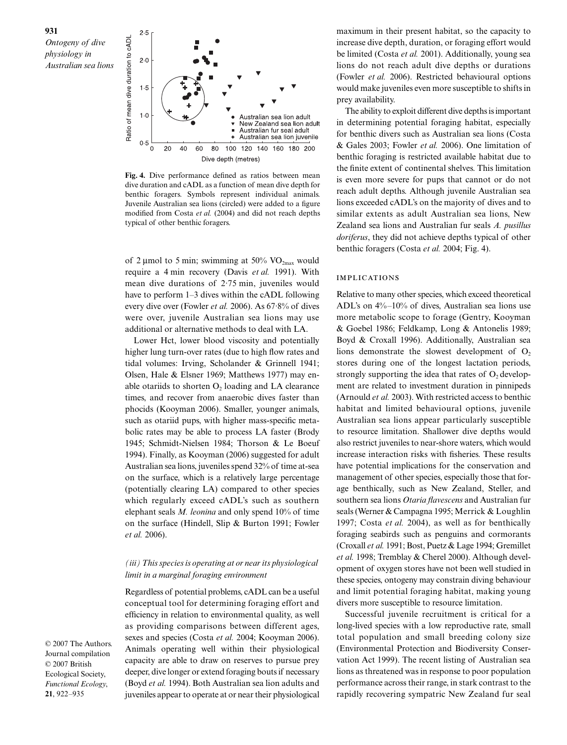

**Fig. 4.** Dive performance defined as ratios between mean dive duration and cADL as a function of mean dive depth for benthic foragers. Symbols represent individual animals. Juvenile Australian sea lions (circled) were added to a figure modified from Costa *et al.* (2004) and did not reach depths typical of other benthic foragers.

of 2 µmol to 5 min; swimming at 50%  $VO_{2max}$  would require a 4 min recovery (Davis *et al.* 1991). With mean dive durations of 2·75 min, juveniles would have to perform 1–3 dives within the cADL following every dive over (Fowler *et al.* 2006). As 67·8% of dives were over, juvenile Australian sea lions may use additional or alternative methods to deal with LA.

Lower Hct, lower blood viscosity and potentially higher lung turn-over rates (due to high flow rates and tidal volumes: Irving, Scholander & Grinnell 1941; Olsen, Hale & Elsner 1969; Matthews 1977) may enable otariids to shorten  $O<sub>2</sub>$  loading and LA clearance times, and recover from anaerobic dives faster than phocids (Kooyman 2006). Smaller, younger animals, such as otariid pups, with higher mass-specific metabolic rates may be able to process LA faster (Brody 1945; Schmidt-Nielsen 1984; Thorson & Le Boeuf 1994). Finally, as Kooyman (2006) suggested for adult Australian sea lions, juveniles spend 32% of time at-sea on the surface, which is a relatively large percentage (potentially clearing LA) compared to other species which regularly exceed cADL's such as southern elephant seals *M. leonina* and only spend 10% of time on the surface (Hindell, Slip & Burton 1991; Fowler *et al.* 2006).

# *(iii) This species is operating at or near its physiological limit in a marginal foraging environment*

Regardless of potential problems, cADL can be a useful conceptual tool for determining foraging effort and efficiency in relation to environmental quality, as well as providing comparisons between different ages, sexes and species (Costa *et al.* 2004; Kooyman 2006). Animals operating well within their physiological capacity are able to draw on reserves to pursue prey deeper, dive longer or extend foraging bouts if necessary (Boyd *et al.* 1994). Both Australian sea lion adults and juveniles appear to operate at or near their physiological

maximum in their present habitat, so the capacity to increase dive depth, duration, or foraging effort would be limited (Costa *et al.* 2001). Additionally, young sea lions do not reach adult dive depths or durations (Fowler *et al.* 2006). Restricted behavioural options would make juveniles even more susceptible to shifts in prey availability.

The ability to exploit different dive depths is important in determining potential foraging habitat, especially for benthic divers such as Australian sea lions (Costa & Gales 2003; Fowler *et al.* 2006). One limitation of benthic foraging is restricted available habitat due to the finite extent of continental shelves. This limitation is even more severe for pups that cannot or do not reach adult depths. Although juvenile Australian sea lions exceeded cADL's on the majority of dives and to similar extents as adult Australian sea lions, New Zealand sea lions and Australian fur seals *A. pusillus doriferus*, they did not achieve depths typical of other benthic foragers (Costa *et al.* 2004; Fig. 4).

# **IMPLICATIONS**

Relative to many other species, which exceed theoretical ADL's on 4%–10% of dives, Australian sea lions use more metabolic scope to forage (Gentry, Kooyman & Goebel 1986; Feldkamp, Long & Antonelis 1989; Boyd & Croxall 1996). Additionally, Australian sea lions demonstrate the slowest development of  $O<sub>2</sub>$ stores during one of the longest lactation periods, strongly supporting the idea that rates of  $O_2$  development are related to investment duration in pinnipeds (Arnould *et al.* 2003). With restricted access to benthic habitat and limited behavioural options, juvenile Australian sea lions appear particularly susceptible to resource limitation. Shallower dive depths would also restrict juveniles to near-shore waters, which would increase interaction risks with fisheries. These results have potential implications for the conservation and management of other species, especially those that forage benthically, such as New Zealand, Steller, and southern sea lions *Otaria flavescens* and Australian fur seals (Werner & Campagna 1995; Merrick & Loughlin 1997; Costa *et al.* 2004), as well as for benthically foraging seabirds such as penguins and cormorants (Croxall *et al.* 1991; Bost, Puetz & Lage 1994; Gremillet *et al.* 1998; Tremblay & Cherel 2000). Although development of oxygen stores have not been well studied in these species, ontogeny may constrain diving behaviour and limit potential foraging habitat, making young divers more susceptible to resource limitation.

Successful juvenile recruitment is critical for a long-lived species with a low reproductive rate, small total population and small breeding colony size (Environmental Protection and Biodiversity Conservation Act 1999). The recent listing of Australian sea lions as threatened was in response to poor population performance across their range, in stark contrast to the rapidly recovering sympatric New Zealand fur seal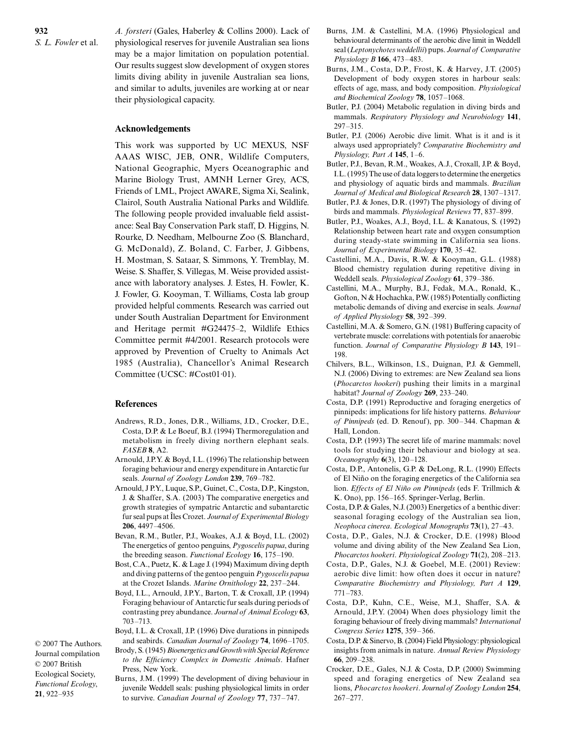**932** *S. L. Fowler* et al. *A. forsteri* (Gales, Haberley & Collins 2000). Lack of physiological reserves for juvenile Australian sea lions may be a major limitation on population potential. Our results suggest slow development of oxygen stores limits diving ability in juvenile Australian sea lions, and similar to adults, juveniles are working at or near their physiological capacity.

# **Acknowledgements**

This work was supported by UC MEXUS, NSF AAAS WISC, JEB, ONR, Wildlife Computers, National Geographic, Myers Oceanographic and Marine Biology Trust, AMNH Lerner Grey, ACS, Friends of LML, Project AWARE, Sigma Xi, Sealink, Clairol, South Australia National Parks and Wildlife. The following people provided invaluable field assistance: Seal Bay Conservation Park staff, D. Higgins, N. Rourke, D. Needham, Melbourne Zoo (S. Blanchard, G. McDonald), Z. Boland, C. Farber, J. Gibbens, H. Mostman, S. Sataar, S. Simmons, Y. Tremblay, M. Weise. S. Shaffer, S. Villegas, M. Weise provided assistance with laboratory analyses. J. Estes, H. Fowler, K. J. Fowler, G. Kooyman, T. Williams, Costa lab group provided helpful comments. Research was carried out under South Australian Department for Environment and Heritage permit #G24475–2, Wildlife Ethics Committee permit #4/2001. Research protocols were approved by Prevention of Cruelty to Animals Act 1985 (Australia), Chancellor's Animal Research Committee (UCSC: #Cost01·01).

# **References**

- Andrews, R.D., Jones, D.R., Williams, J.D., Crocker, D.E., Costa, D.P. & Le Boeuf, B.J. (1994) Thermoregulation and metabolism in freely diving northern elephant seals. *FASEB* **8**, A2.
- Arnould, J.P.Y. & Boyd, I.L. (1996) The relationship between foraging behaviour and energy expenditure in Antarctic fur seals. *Journal of Zoology London* **239**, 769–782.
- Arnould, J P.Y., Luque, S.P., Guinet, C., Costa, D.P., Kingston, J. & Shaffer, S.A. (2003) The comparative energetics and growth strategies of sympatric Antarctic and subantarctic fur seal pups at Îles Crozet. *Journal of Experimental Biology* **206**, 4497–4506.
- Bevan, R.M., Butler, P.J., Woakes, A.J. & Boyd, I.L. (2002) The energetics of gentoo penguins, *Pygoscelis papua*, during the breeding season. *Functional Ecology* **16**, 175–190.
- Bost, C.A., Puetz, K. & Lage J. (1994) Maximum diving depth and diving patterns of the gentoo penguin *Pygoscelis papua* at the Crozet Islands. *Marine Ornithology* **22**, 237–244.
- Boyd, I.L., Arnould, J.P.Y., Barton, T. & Croxall, J.P. (1994) Foraging behaviour of Antarctic fur seals during periods of contrasting prey abundance. *Journal of Animal Ecology* **63**, 703–713.
- Boyd, I.L. & Croxall, J.P. (1996) Dive durations in pinnipeds and seabirds. *Canadian Journal of Zoology* **74**, 1696–1705. Brody, S. (1945) *Bioenergetics and Growth with Special Reference*

Journal compilation © 2007 British Ecological Society, *Functional Ecology*, **21**, 922–935

© 2007 The Authors.

- *to the Efficiency Complex in Domestic Animals*. Hafner Press, New York. Burns, J.M. (1999) The development of diving behaviour in
	- juvenile Weddell seals: pushing physiological limits in order to survive. *Canadian Journal of Zoology* **77**, 737–747.
- Burns, J.M. & Castellini, M.A. (1996) Physiological and behavioural determinants of the aerobic dive limit in Weddell seal (*Leptonychotes weddellii*) pups. *Journal of Comparative Physiology B* **166**, 473–483.
- Burns, J.M., Costa, D.P., Frost, K. & Harvey, J.T. (2005) Development of body oxygen stores in harbour seals: effects of age, mass, and body composition. *Physiological and Biochemical Zoology* **78**, 1057–1068.
- Butler, P.J. (2004) Metabolic regulation in diving birds and mammals. *Respiratory Physiology and Neurobiology* **141**, 297–315.
- Butler, P.J. (2006) Aerobic dive limit. What is it and is it always used appropriately? *Comparative Biochemistry and Physiology, Part A* **145**, 1–6.
- Butler, P.J., Bevan, R.M., Woakes, A.J., Croxall, J.P. & Boyd, I.L. (1995) The use of data loggers to determine the energetics and physiology of aquatic birds and mammals. *Brazilian Journal of Medical and Biological Research* **28**, 1307–1317.
- Butler, P.J. & Jones, D.R. (1997) The physiology of diving of birds and mammals. *Physiological Reviews* **77**, 837–899.
- Butler, P.J., Woakes, A.J., Boyd, I.L. & Kanatous, S. (1992) Relationship between heart rate and oxygen consumption during steady-state swimming in California sea lions. *Journal of Experimental Biology* **170**, 35–42.
- Castellini, M.A., Davis, R.W. & Kooyman, G.L. (1988) Blood chemistry regulation during repetitive diving in Weddell seals. *Physiological Zoology* **61**, 379–386.
- Castellini, M.A., Murphy, B.J., Fedak, M.A., Ronald, K., Gofton, N & Hochachka, P.W. (1985) Potentially conflicting metabolic demands of diving and exercise in seals. *Journal of Applied Physiology* **58**, 392–399.
- Castellini, M.A. & Somero, G.N. (1981) Buffering capacity of vertebrate muscle: correlations with potentials for anaerobic function. *Journal of Comparative Physiology B* **143**, 191– 198.
- Chilvers, B.L., Wilkinson, I.S., Duignan, P.J. & Gemmell, N.J. (2006) Diving to extremes: are New Zealand sea lions (*Phocarctos hookeri*) pushing their limits in a marginal habitat? *Journal of Zoology* **269**, 233–240.
- Costa, D.P. (1991) Reproductive and foraging energetics of pinnipeds: implications for life history patterns. *Behaviour of Pinnipeds* (ed. D. Renouf), pp. 300–344. Chapman & Hall, London.
- Costa, D.P. (1993) The secret life of marine mammals: novel tools for studying their behaviour and biology at sea. *Oceanography* **6**(3), 120–128.
- Costa, D.P., Antonelis, G.P. & DeLong, R.L. (1990) Effects of El Niño on the foraging energetics of the California sea lion. *Effects of El Niño on Pinnipeds* (eds F. Trillmich & K. Ono), pp. 156–165. Springer-Verlag, Berlin.
- Costa, D.P. & Gales, N.J. (2003) Energetics of a benthic diver: seasonal foraging ecology of the Australian sea lion, *Neophoca cinerea*. *Ecological Monographs* **73**(1), 27–43.
- Costa, D.P., Gales, N.J. & Crocker, D.E. (1998) Blood volume and diving ability of the New Zealand Sea Lion, *Phocarctos hookeri*. *Physiological Zoology* **71**(2), 208–213.
- Costa, D.P., Gales, N.J. & Goebel, M.E. (2001) Review: aerobic dive limit: how often does it occur in nature? *Comparative Biochemistry and Physiology, Part A* **129**, 771–783.
- Costa, D.P., Kuhn, C.E., Weise, M.J., Shaffer, S.A. & Arnould, J.P.Y. (2004) When does physiology limit the foraging behaviour of freely diving mammals? *International Congress Series* **1275**, 359–366.
- Costa, D.P. & Sinervo, B. (2004) Field Physiology: physiological insights from animals in nature. *Annual Review Physiology* **66**, 209–238.
- Crocker, D.E., Gales, N.J. & Costa, D.P. (2000) Swimming speed and foraging energetics of New Zealand sea lions, *Phocarctos hookeri*. *Journal of Zoology London* **254**, 267–277.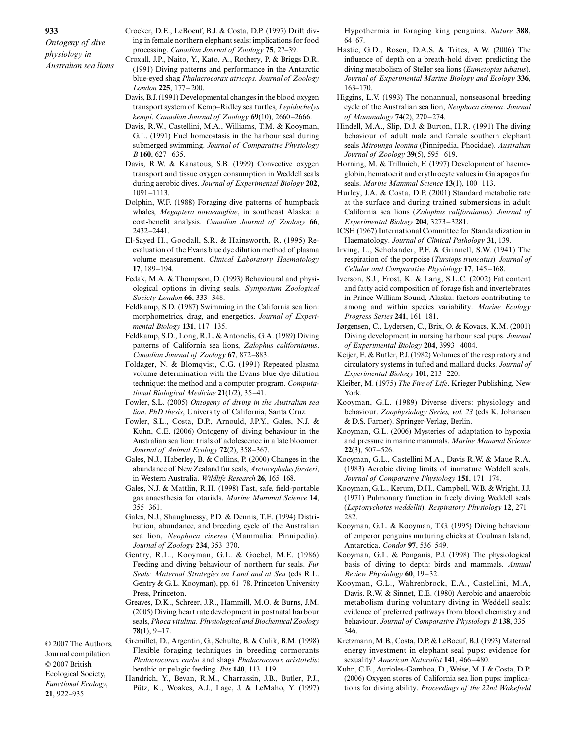© 2007 The Authors. Journal compilation © 2007 British Ecological Society, *Functional Ecology*, **21**, 922–935

- Crocker, D.E., LeBoeuf, B.J. & Costa, D.P. (1997) Drift diving in female northern elephant seals: implications for food processing. *Canadian Journal of Zoology* **75**, 27–39.
- Croxall, J.P., Naito, Y., Kato, A., Rothery, P. & Briggs D.R. (1991) Diving patterns and performance in the Antarctic blue-eyed shag *Phalacrocorax atriceps*. *Journal of Zoology London* **225**, 177–200.
- Davis, B.J. (1991) Developmental changes in the blood oxygen transport system of Kemp–Ridley sea turtles, *Lepidochelys kempi*. *Canadian Journal of Zoology* **69**(10), 2660–2666.
- Davis, R.W., Castellini, M.A., Williams, T.M. & Kooyman, G.L. (1991) Fuel homeostasis in the harbour seal during submerged swimming. *Journal of Comparative Physiology B* **160**, 627–635.
- Davis, R.W. & Kanatous, S.B. (1999) Convective oxygen transport and tissue oxygen consumption in Weddell seals during aerobic dives. *Journal of Experimental Biology* **202**, 1091–1113.
- Dolphin, W.F. (1988) Foraging dive patterns of humpback whales, *Megaptera novaeangliae*, in southeast Alaska: a cost-benefit analysis. *Canadian Journal of Zoology* **66**, 2432–2441.
- El-Sayed H., Goodall, S.R. & Hainsworth, R. (1995) Reevaluation of the Evans blue dye dilution method of plasma volume measurement. *Clinical Laboratory Haematology* **17**, 189–194.
- Fedak, M.A. & Thompson, D. (1993) Behavioural and physiological options in diving seals. *Symposium Zoological Society London* **66**, 333–348.
- Feldkamp, S.D. (1987) Swimming in the California sea lion: morphometrics, drag, and energetics. *Journal of Experimental Biology* **131**, 117–135.
- Feldkamp, S.D., Long, R.L. & Antonelis, G.A. (1989) Diving patterns of California sea lions, *Zalophus californianus*. *Canadian Journal of Zoology* **67**, 872–883.
- Foldager, N. & Blomqvist, C.G. (1991) Repeated plasma volume determination with the Evans blue dye dilution technique: the method and a computer program. *Computational Biological Medicine* **21**(1/2), 35–41.
- Fowler, S.L. (2005) *Ontogeny of diving in the Australian sea lion*. *PhD thesis*, University of California, Santa Cruz.
- Fowler, S.L., Costa, D.P., Arnould, J.P.Y., Gales, N.J. & Kuhn, C.E. (2006) Ontogeny of diving behaviour in the Australian sea lion: trials of adolescence in a late bloomer. *Journal of Animal Ecology* **72**(2), 358–367.
- Gales, N.J., Haberley, B. & Collins, P. (2000) Changes in the abundance of New Zealand fur seals, *Arctocephalus forsteri*, in Western Australia. *Wildlife Research* **26**, 165–168.
- Gales, N.J. & Mattlin, R.H. (1998) Fast, safe, field-portable gas anaesthesia for otariids. *Marine Mammal Science* **14**, 355–361.
- Gales, N.J., Shaughnessy, P.D. & Dennis, T.E. (1994) Distribution, abundance, and breeding cycle of the Australian sea lion, *Neophoca cinerea* (Mammalia: Pinnipedia). *Journal of Zoology* **234**, 353–370.
- Gentry, R.L., Kooyman, G.L. & Goebel, M.E. (1986) Feeding and diving behaviour of northern fur seals. *Fur Seals: Maternal Strategies on Land and at Sea* (eds R.L. Gentry & G.L. Kooyman), pp. 61–78. Princeton University Press, Princeton.
- Greaves, D.K., Schreer, J.R., Hammill, M.O. & Burns, J.M. (2005) Diving heart rate development in postnatal harbour seals, *Phoca vitulina*. *Physiological and Biochemical Zoology* **78**(1), 9–17.
- Gremillet, D., Argentin, G., Schulte, B. & Culik, B.M. (1998) Flexible foraging techniques in breeding cormorants *Phalacrocorax carbo* and shags *Phalacrocorax aristotelis*: benthic or pelagic feeding. *Ibis* **140**, 113–119.
- Handrich, Y., Bevan, R.M., Charrassin, J.B., Butler, P.J., Pütz, K., Woakes, A.J., Lage, J. & LeMaho, Y. (1997)

Hypothermia in foraging king penguins. *Nature* **388**, 64–67.

- Hastie, G.D., Rosen, D.A.S. & Trites, A.W. (2006) The influence of depth on a breath-hold diver: predicting the diving metabolism of Steller sea lions (*Eumetopias jubatus*). *Journal of Experimental Marine Biology and Ecology* **336**, 163–170.
- Higgins, L.V. (1993) The nonannual, nonseasonal breeding cycle of the Australian sea lion, *Neophoca cinerea*. *Journal of Mammalogy* **74**(2), 270–274.
- Hindell, M.A., Slip, D.J. & Burton, H.R. (1991) The diving behaviour of adult male and female southern elephant seals *Mirounga leonina* (Pinnipedia, Phocidae). *Australian Journal of Zoology* **39**(5), 595–619.
- Horning, M. & Trillmich, F. (1997) Development of haemoglobin, hematocrit and erythrocyte values in Galapagos fur seals. *Marine Mammal Science* **13**(1), 100–113.
- Hurley, J.A. & Costa, D.P. (2001) Standard metabolic rate at the surface and during trained submersions in adult California sea lions (*Zalophus californianus*). *Journal of Experimental Biology* **204**, 3273–3281.
- ICSH (1967) International Committee for Standardization in Haematology. *Journal of Clinical Pathology* **31**, 139.
- Irving, L., Scholander, P.F. & Grinnell, S.W. (1941) The respiration of the porpoise (*Tursiops truncatus*). *Journal of Cellular and Comparative Physiology* **17**, 145–168.
- Iverson, S.J., Frost, K. & Lang, S.L.C. (2002) Fat content and fatty acid composition of forage fish and invertebrates in Prince William Sound, Alaska: factors contributing to among and within species variability. *Marine Ecology Progress Series* **241**, 161–181.
- Jørgensen, C., Lydersen, C., Brix, O. & Kovacs, K.M. (2001) Diving development in nursing harbour seal pups. *Journal of Experimental Biology* **204**, 3993–4004.
- Keijer, E. & Butler, P.J. (1982) Volumes of the respiratory and circulatory systems in tufted and mallard ducks. *Journal of Experimental Biology* **101**, 213–220.
- Kleiber, M. (1975) *The Fire of Life*. Krieger Publishing, New York.
- Kooyman, G.L. (1989) Diverse divers: physiology and behaviour. *Zoophysiology Series, vol. 23* (eds K. Johansen & D.S. Farner). Springer-Verlag, Berlin.
- Kooyman, G.L. (2006) Mysteries of adaptation to hypoxia and pressure in marine mammals. *Marine Mammal Science* **22**(3), 507–526.
- Kooyman, G.L., Castellini M.A., Davis R.W. & Maue R.A. (1983) Aerobic diving limits of immature Weddell seals. *Journal of Comparative Physiology* **151**, 171–174.
- Kooyman, G.L., Kerum, D.H., Campbell, W.B. & Wright, J.J. (1971) Pulmonary function in freely diving Weddell seals (*Leptonychotes weddellii*). *Respiratory Physiology* **12**, 271– 282.
- Kooyman, G.L. & Kooyman, T.G. (1995) Diving behaviour of emperor penguins nurturing chicks at Coulman Island, Antarctica. *Condor* **97**, 536–549.
- Kooyman, G.L. & Ponganis, P.J. (1998) The physiological basis of diving to depth: birds and mammals. *Annual Review Physiology* **60**, 19–32.
- Kooyman, G.L., Wahrenbrock, E.A., Castellini, M.A, Davis, R.W. & Sinnet, E.E. (1980) Aerobic and anaerobic metabolism during voluntary diving in Weddell seals: evidence of preferred pathways from blood chemistry and behaviour. *Journal of Comparative Physiology B* **138**, 335– 346.
- Kretzmann, M.B., Costa, D.P. & LeBoeuf, B.J. (1993) Maternal energy investment in elephant seal pups: evidence for sexuality? *American Naturalist* **141**, 466–480.
- Kuhn, C.E., Aurioles-Gamboa, D., Weise, M.J. & Costa, D.P. (2006) Oxygen stores of California sea lion pups: implications for diving ability. *Proceedings of the 22nd Wakefield*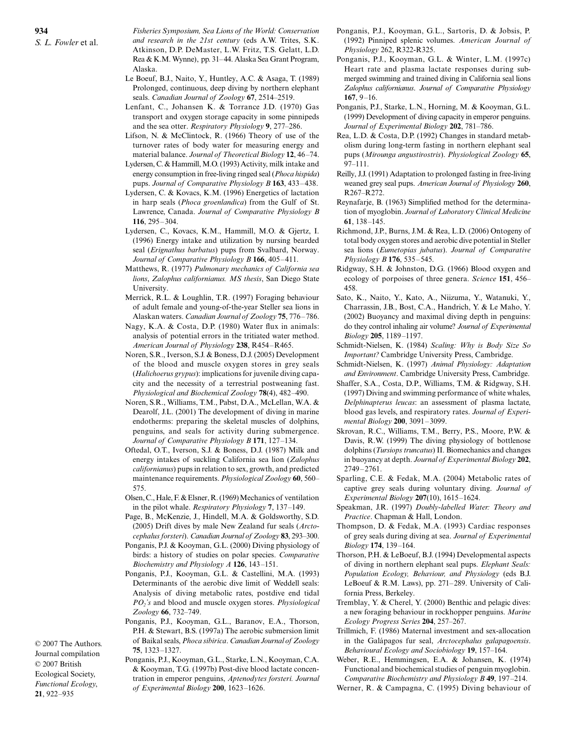*Fisheries Symposium, Sea Lions of the World: Conservation and research in the 21st century* (eds A.W. Trites, S.K. Atkinson, D.P. DeMaster, L.W. Fritz, T.S. Gelatt, L.D. Rea & K.M. Wynne), pp. 31–44. Alaska Sea Grant Program, Alaska.

- Le Boeuf, B.J., Naito, Y., Huntley, A.C. & Asaga, T. (1989) Prolonged, continuous, deep diving by northern elephant seals. *Canadian Journal of Zoology* **67**, 2514–2519.
- Lenfant, C., Johansen K. & Torrance J.D. (1970) Gas transport and oxygen storage capacity in some pinnipeds and the sea otter. *Respiratory Physiology* **9**, 277–286.
- Lifson, N. & McClintock, R. (1966) Theory of use of the turnover rates of body water for measuring energy and material balance. *Journal of Theoretical Biology* **12**, 46–74.
- Lydersen, C. & Hammill, M.O. (1993) Activity, milk intake and energy consumption in free-living ringed seal (*Phoca hispida*) pups. *Journal of Comparative Physiology B* **163**, 433–438.
- Lydersen, C. & Kovacs, K.M. (1996) Energetics of lactation in harp seals (*Phoca groenlandica*) from the Gulf of St. Lawrence, Canada. *Journal of Comparative Physiology B* **116**, 295–304.
- Lydersen, C., Kovacs, K.M., Hammill, M.O. & Gjertz, I. (1996) Energy intake and utilization by nursing bearded seal (*Erignathus barbatus*) pups from Svalbard, Norway. *Journal of Comparative Physiology B* **166**, 405–411.
- Matthews, R. (1977) *Pulmonary mechanics of California sea lions*, *Zalophus californianus. MS thesis*, San Diego State University.
- Merrick, R.L. & Loughlin, T.R. (1997) Foraging behaviour of adult female and young-of-the-year Steller sea lions in Alaskan waters. *Canadian Journal of Zoology* **75**, 776–786.
- Nagy, K.A. & Costa, D.P. (1980) Water flux in animals: analysis of potential errors in the tritiated water method. *American Journal of Physiology* **238**, R454–R465.
- Noren, S.R., Iverson, S.J. & Boness, D.J. (2005) Development of the blood and muscle oxygen stores in grey seals (*Halichoerus grypus*): implications for juvenile diving capacity and the necessity of a terrestrial postweaning fast. *Physiological and Biochemical Zoology* **78**(4), 482–490.
- Noren, S.R., Williams, T.M., Pabst, D.A., McLellan, W.A. & Dearolf, J.L. (2001) The development of diving in marine endotherms: preparing the skeletal muscles of dolphins, penguins, and seals for activity during submergence. *Journal of Comparative Physiology B* **171**, 127–134.
- Oftedal, O.T., Iverson, S.J. & Boness, D.J. (1987) Milk and energy intakes of suckling California sea lion (*Zalophus californianus*) pups in relation to sex, growth, and predicted maintenance requirements. *Physiological Zoology* **60**, 560– 575.
- Olsen, C., Hale, F. & Elsner, R. (1969) Mechanics of ventilation in the pilot whale. *Respiratory Physiology* **7**, 137–149.
- Page, B., McKenzie, J., Hindell, M.A. & Goldsworthy, S.D. (2005) Drift dives by male New Zealand fur seals (*Arctocephalus forsteri*). *Canadian Journal of Zoology* **83**, 293–300.
- Ponganis, P.J. & Kooyman, G.L. (2000) Diving physiology of birds: a history of studies on polar species. *Comparative Biochemistry and Physiology A* **126**, 143–151.
- Ponganis, P.J., Kooyman, G.L. & Castellini, M.A. (1993) Determinants of the aerobic dive limit of Weddell seals: Analysis of diving metabolic rates, postdive end tidal *PO2's* and blood and muscle oxygen stores. *Physiological Zoology* **66**, 732–749.
- Ponganis, P.J., Kooyman, G.L., Baranov, E.A., Thorson, P.H. & Stewart, B.S. (1997a) The aerobic submersion limit of Baikal seals, *Phoca sibirica*. *Canadian Journal of Zoology* **75**, 1323–1327.

Journal compilation © 2007 British Ecological Society, *Functional Ecology*, **21**, 922–935

© 2007 The Authors.

Ponganis, P.J., Kooyman, G.L., Starke, L.N., Kooyman, C.A. & Kooyman, T.G. (1997b) Post-dive blood lactate concentration in emperor penguins, *Aptenodytes forsteri. Journal of Experimental Biology* **200**, 1623–1626.

- Ponganis, P.J., Kooyman, G.L., Sartoris, D. & Jobsis, P. (1992) Pinniped splenic volumes. *American Journal of Physiology* 262, R322-R325.
- Ponganis, P.J., Kooyman, G.L. & Winter, L.M. (1997c) Heart rate and plasma lactate responses during submerged swimming and trained diving in California seal lions *Zalophus californianus*. *Journal of Comparative Physiology* **167**, 9–16.
- Ponganis, P.J., Starke, L.N., Horning, M. & Kooyman, G.L. (1999) Development of diving capacity in emperor penguins. *Journal of Experimental Biology* **202**, 781–786.
- Rea, L.D. & Costa, D.P. (1992) Changes in standard metabolism during long-term fasting in northern elephant seal pups (*Mirounga angustirostris*). *Physiological Zoology* **65**, 97–111.
- Reilly, J.J. (1991) Adaptation to prolonged fasting in free-living weaned grey seal pups. *American Journal of Physiology* **260**, R267–R272.
- Reynafarje, B. (1963) Simplified method for the determination of myoglobin. *Journal of Laboratory Clinical Medicine* **61**, 138–145.
- Richmond, J.P., Burns, J.M. & Rea, L.D. (2006) Ontogeny of total body oxygen stores and aerobic dive potential in Steller sea lions (*Eumetopias jubatus*). *Journal of Comparative Physiology B* **176**, 535–545.
- Ridgway, S.H. & Johnston, D.G. (1966) Blood oxygen and ecology of porpoises of three genera. *Science* **151**, 456– 458.
- Sato, K., Naito, Y., Kato, A., Niizuma, Y., Watanuki, Y., Charrassin, J.B., Bost, C.A., Handrich, Y. & Le Maho, Y. (2002) Buoyancy and maximal diving depth in penguins: do they control inhaling air volume? *Journal of Experimental Biology* **205**, 1189–1197.
- Schmidt-Nielsen, K. (1984) *Scaling: Why is Body Size So Important?* Cambridge University Press, Cambridge.
- Schmidt-Nielsen, K. (1997) *Animal Physiology: Adaptation and Environment*. Cambridge University Press, Cambridge.
- Shaffer, S.A., Costa, D.P., Williams, T.M. & Ridgway, S.H. (1997) Diving and swimming performance of white whales, *Delphinapterus leucas*: an assessment of plasma lactate, blood gas levels, and respiratory rates. *Journal of Experimental Biology* **200**, 3091–3099.
- Skrovan, R.C., Williams, T.M., Berry, P.S., Moore, P.W. & Davis, R.W. (1999) The diving physiology of bottlenose dolphins (*Tursiops truncatus*) II. Biomechanics and changes in buoyancy at depth. *Journal of Experimental Biology* **202**, 2749–2761.
- Sparling, C.E. & Fedak, M.A. (2004) Metabolic rates of captive grey seals during voluntary diving. *Journal of Experimental Biology* **207**(10), 1615–1624.
- Speakman, J.R. (1997) *Doubly-labelled Water: Theory and Practice*. Chapman & Hall, London.
- Thompson, D. & Fedak, M.A. (1993) Cardiac responses of grey seals during diving at sea. *Journal of Experimental Biology* **174**, 139–164.
- Thorson, P.H. & LeBoeuf, B.J. (1994) Developmental aspects of diving in northern elephant seal pups. *Elephant Seals: Population Ecology, Behaviour, and Physiology* (eds B.J. LeBoeuf & R.M. Laws), pp. 271–289. University of California Press, Berkeley.
- Tremblay, Y. & Cherel, Y. (2000) Benthic and pelagic dives: a new foraging behaviour in rockhopper penguins. *Marine Ecology Progress Series* **204**, 257–267.
- Trillmich, F. (1986) Maternal investment and sex-allocation in the Galápagos fur seal, *Arctocephalus galapagoensis*. *Behavioural Ecology and Sociobiology* **19**, 157–164.
- Weber, R.E., Hemmingsen, E.A. & Johansen, K. (1974) Functional and biochemical studies of penguin myoglobin. *Comparative Biochemistry and Physiology B* **49**, 197–214. Werner, R. & Campagna, C. (1995) Diving behaviour of